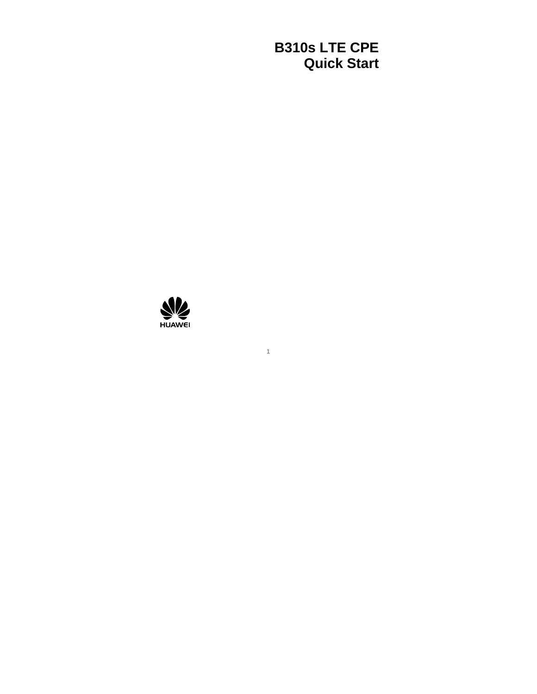### **B310s LTE CPE Quick Start**

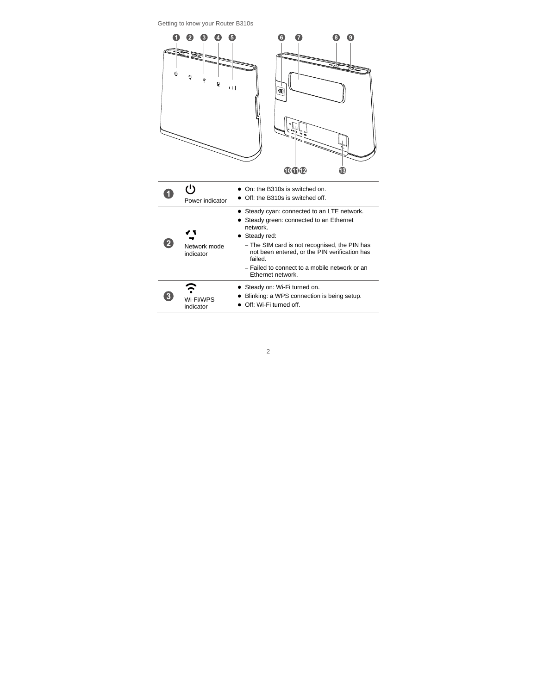Getting to know your Router B310s

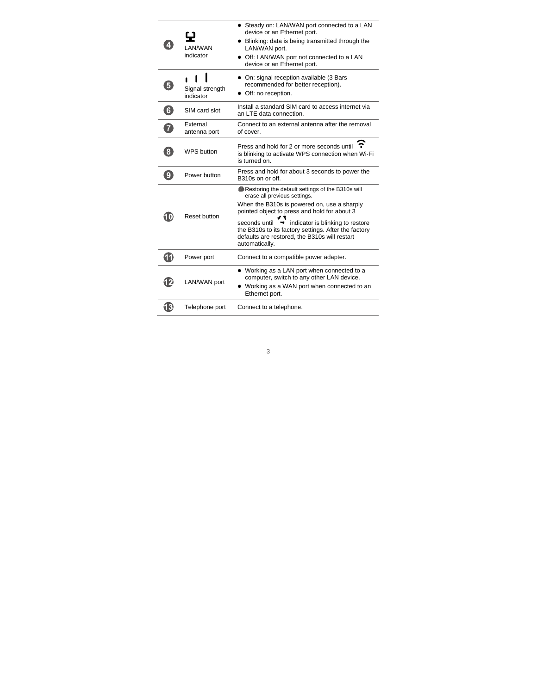| 4                 | <b>I AN/WAN</b><br>indicator | • Steady on: LAN/WAN port connected to a LAN<br>device or an Ethernet port.<br>• Blinking: data is being transmitted through the<br>LAN/WAN port.<br>• Off: LAN/WAN port not connected to a LAN<br>device or an Ethernet port.                                                                                                                                                |  |
|-------------------|------------------------------|-------------------------------------------------------------------------------------------------------------------------------------------------------------------------------------------------------------------------------------------------------------------------------------------------------------------------------------------------------------------------------|--|
| 6                 | Signal strength<br>indicator | • On: signal reception available (3 Bars<br>recommended for better reception).<br>• Off: no reception.                                                                                                                                                                                                                                                                        |  |
| $\left[ 6\right]$ | SIM card slot                | Install a standard SIM card to access internet via<br>an LTE data connection.                                                                                                                                                                                                                                                                                                 |  |
| $\overline{7}$    | External<br>antenna port     | Connect to an external antenna after the removal<br>of cover.                                                                                                                                                                                                                                                                                                                 |  |
| $\mathbf{8}$      | <b>WPS button</b>            | Press and hold for 2 or more seconds until<br>is blinking to activate WPS connection when Wi-Fi<br>is turned on.                                                                                                                                                                                                                                                              |  |
| $\overline{9}$    | Power button                 | Press and hold for about 3 seconds to power the<br>B310s on or off                                                                                                                                                                                                                                                                                                            |  |
| 10                | Reset button                 | Restoring the default settings of the B310s will<br>erase all previous settings.<br>When the B310s is powered on, use a sharply<br>pointed object to press and hold for about 3<br>seconds until<br>$\rightarrow$ indicator is blinking to restore<br>the B310s to its factory settings. After the factory<br>defaults are restored, the B310s will restart<br>automatically. |  |
| $\bf \Phi$        | Power port                   | Connect to a compatible power adapter.                                                                                                                                                                                                                                                                                                                                        |  |
| 12                | LAN/WAN port                 | • Working as a LAN port when connected to a<br>computer, switch to any other LAN device.<br>• Working as a WAN port when connected to an<br>Ethernet port.                                                                                                                                                                                                                    |  |
| 13                | Telephone port               | Connect to a telephone.                                                                                                                                                                                                                                                                                                                                                       |  |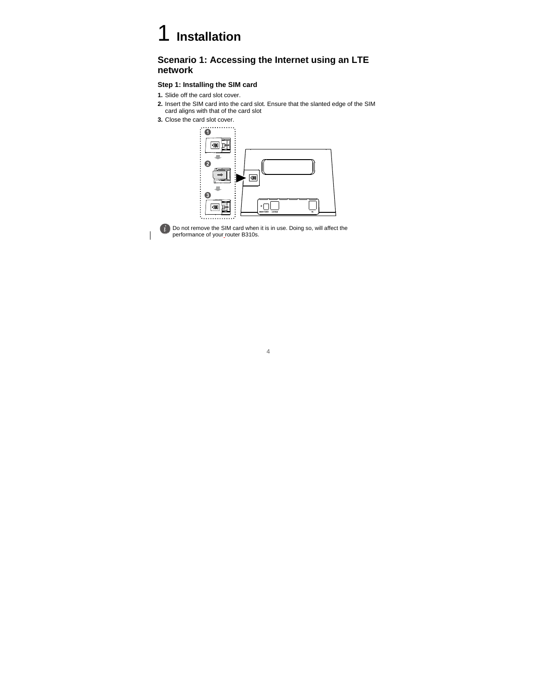### 1 **Installation**

### **Scenario 1: Accessing the Internet using an LTE network**

#### **Step 1: Installing the SIM card**

- **1.** Slide off the card slot cover.
- **2.** Insert the SIM card into the card slot. Ensure that the slanted edge of the SIM card aligns with that of the card slot
- **3.** Close the card slot cover.





Do not remove the SIM card when it is in use. Doing so, will affect the performance of your router B310s.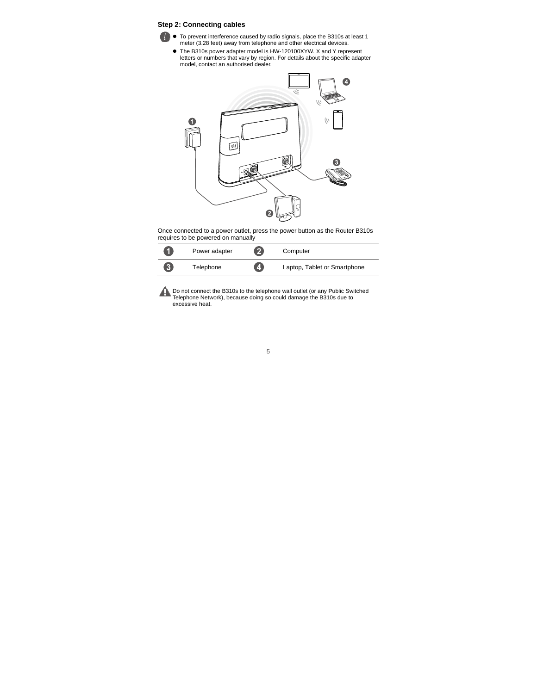#### **Step 2: Connecting cables**

- 
- To prevent interference caused by radio signals, place the B310s at least 1 meter (3.28 feet) away from telephone and other electrical devices.
- The B310s power adapter model is HW-120100XYW. X and Y represent letters or numbers that vary by region. For details about the specific adapter model, contact an authorised dealer.



Once connected to a power outlet, press the power button as the Router B310s requires to be powered on manually

| 0                 | Power adapter | 2 | Computer                     |
|-------------------|---------------|---|------------------------------|
| $\left[ 3\right]$ | Telephone     | Ø | Laptop, Tablet or Smartphone |

Do not connect the B310s to the telephone wall outlet (or any Public Switched Telephone Network), because doing so could damage the B310s due to excessive heat.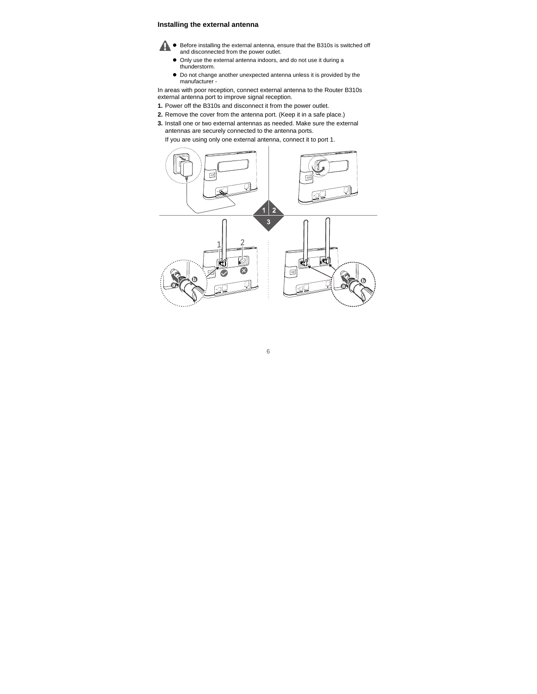#### **Installing the external antenna**



- Before installing the external antenna, ensure that the B310s is switched off and disconnected from the power outlet.
- Only use the external antenna indoors, and do not use it during a thunderstorm.
- $\bullet$  Do not change another unexpected antenna unless it is provided by the manufacturer -

In areas with poor reception, connect external antenna to the Router B310s external antenna port to improve signal reception.

- **1.** Power off the B310s and disconnect it from the power outlet.
- **2.** Remove the cover from the antenna port. (Keep it in a safe place.)
- **3.** Install one or two external antennas as needed. Make sure the external antennas are securely connected to the antenna ports.

If you are using only one external antenna, connect it to port 1.

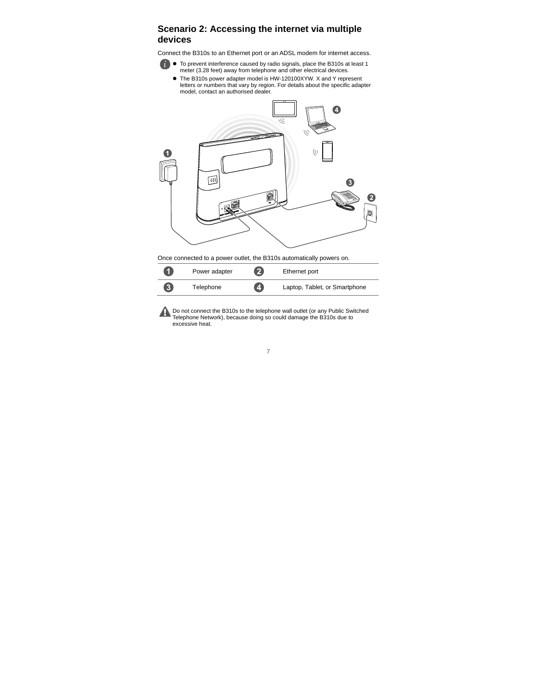### **Scenario 2: Accessing the internet via multiple devices**

Connect the B310s to an Ethernet port or an ADSL modem for internet access.



 To prevent interference caused by radio signals, place the B310s at least 1 meter (3.28 feet) away from telephone and other electrical devices.

 The B310s power adapter model is HW-120100XYW. X and Y represent letters or numbers that vary by region. For details about the specific adapter model, contact an authorised dealer.



| $\blacksquare$ | Power adapter | $\mathbf{2}$   | Ethernet port                 |
|----------------|---------------|----------------|-------------------------------|
| $\overline{3}$ | Telephone     | $\overline{A}$ | Laptop, Tablet, or Smartphone |

Do not connect the B310s to the telephone wall outlet (or any Public Switched Telephone Network), because doing so could damage the B310s due to excessive heat.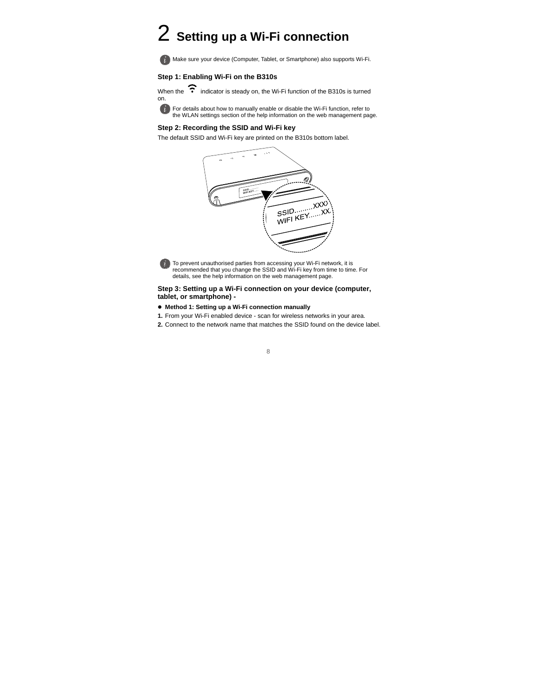### 2 **Setting up a Wi-Fi connection**

Make sure your device (Computer, Tablet, or Smartphone) also supports Wi-Fi.

#### **Step 1: Enabling Wi-Fi on the B310s**

When the  $\widehat{\cdot}$  indicator is steady on, the Wi-Fi function of the B310s is turned on.

**For details about how to manually enable or disable the Wi-Fi function, refer to** the WLAN settings section of the help information on the web management page.

#### **Step 2: Recording the SSID and Wi-Fi key**

The default SSID and Wi-Fi key are printed on the B310s bottom label.



To prevent unauthorised parties from accessing your Wi-Fi network, it is recommended that you change the SSID and Wi-Fi key from time to time. For details, see the help information on the web management page.

#### **Step 3: Setting up a Wi-Fi connection on your device (computer, tablet, or smartphone) -**

- **Method 1: Setting up a Wi-Fi connection manually**
- **1.** From your Wi-Fi enabled device scan for wireless networks in your area.
- **2.** Connect to the network name that matches the SSID found on the device label.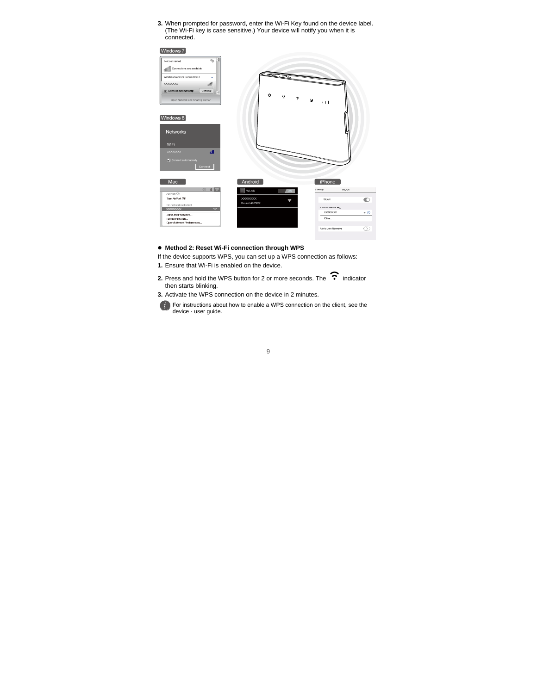**3.** When prompted for password, enter the Wi-Fi Key found on the device label. (The Wi-Fi key is case sensitive.) Your device will notify you when it is connected.

#### Windows 7

| ᆌ<br>$\overline{q}_p$<br>Not connected<br>Connections are available<br>шl<br>Wireless Network Connection 3<br>$\hat{\phantom{a}}$<br><b>XXXXXXXXX</b><br>uil<br>$[$ $\nu]$ Connect automatically<br>Connect<br>٠<br>Open Network and Sharing Center<br>[Windows 8]<br>Networks<br>WiFi<br>иЩ<br><b>XXXXXXXX</b><br>Connect automatically<br>Connect | ৬<br>43<br>÷                | ā,<br>$+1$                                               |           |
|-----------------------------------------------------------------------------------------------------------------------------------------------------------------------------------------------------------------------------------------------------------------------------------------------------------------------------------------------------|-----------------------------|----------------------------------------------------------|-----------|
| Mac<br>$\odot$<br>$\ast \circ$                                                                                                                                                                                                                                                                                                                      | Android<br><b>WLAN</b><br>€ | iPhone<br>WLAN<br><settings< td=""><td></td></settings<> |           |
| AirPort On<br>Turn AirPort Off                                                                                                                                                                                                                                                                                                                      | ON<br>XXXXXXXX              |                                                          |           |
| No network selected                                                                                                                                                                                                                                                                                                                                 | ۰<br>Secured with WEA2      | <b>WLAN</b>                                              | ∩         |
| $\hat{z}$<br><b>XXXXXXXXX</b>                                                                                                                                                                                                                                                                                                                       |                             | CHOCKEA NETWORK.<br>XXXXXXXX                             | $\cdot$ 0 |
| Joh Other Network<br>Create Network                                                                                                                                                                                                                                                                                                                 |                             | Other                                                    |           |
| Open Network Preferences                                                                                                                                                                                                                                                                                                                            |                             |                                                          |           |
|                                                                                                                                                                                                                                                                                                                                                     |                             | Ask to Join Nerworks                                     |           |

#### **Method 2: Reset Wi-Fi connection through WPS**

If the device supports WPS, you can set up a WPS connection as follows:

- **1.** Ensure that Wi-Fi is enabled on the device.
- 2. Press and hold the WPS button for 2 or more seconds. The  $\widehat{\cdot}$  indicator then starts blinking.
- **3.** Activate the WPS connection on the device in 2 minutes.



For instructions about how to enable a WPS connection on the client, see the device - user guide.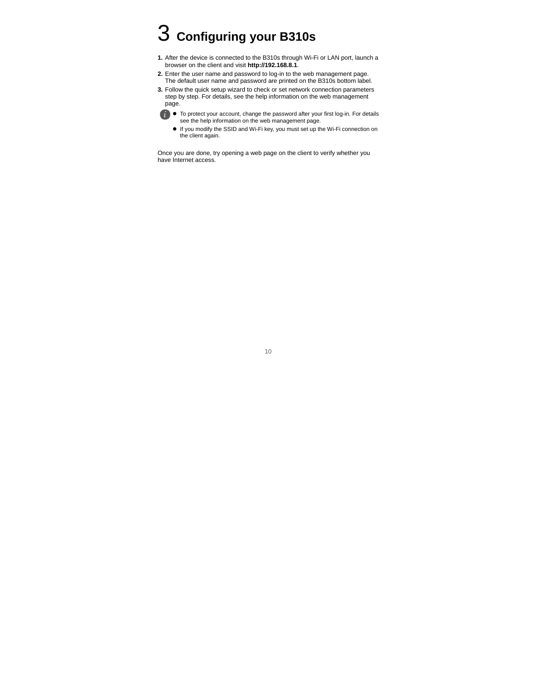# 3 **Configuring your B310s**

- **1.** After the device is connected to the B310s through Wi-Fi or LAN port, launch a browser on the client and visit **http://192.168.8.1**.
- **2.** Enter the user name and password to log-in to the web management page. The default user name and password are printed on the B310s bottom label.
- **3.** Follow the quick setup wizard to check or set network connection parameters step by step. For details, see the help information on the web management page.
	- - $\bullet$  To protect your account, change the password after your first log-in. For details see the help information on the web management page.
		- If you modify the SSID and Wi-Fi key, you must set up the Wi-Fi connection on the client again.

Once you are done, try opening a web page on the client to verify whether you have Internet access.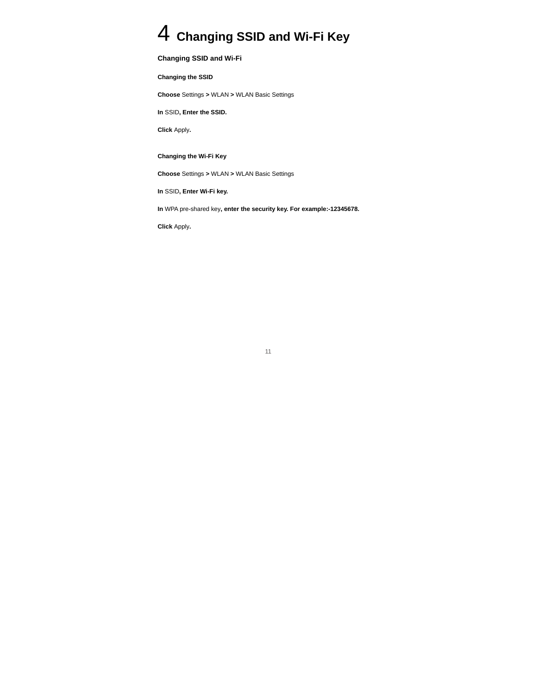### 4 **Changing SSID and Wi-Fi Key**

#### **Changing SSID and Wi-Fi**

**Changing the SSID** 

**Choose** Settings **>** WLAN **>** WLAN Basic Settings

**In** SSID**, Enter the SSID.** 

**Click** Apply**.** 

**Changing the Wi-Fi Key** 

**Choose** Settings **>** WLAN **>** WLAN Basic Settings

**In** SSID**, Enter Wi-Fi key.** 

**In** WPA pre-shared key**, enter the security key. For example:-12345678.** 

**Click** Apply**.**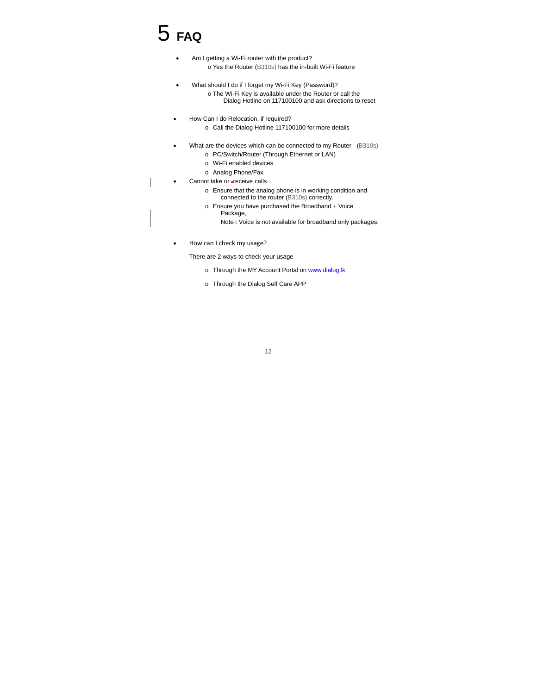# 5 **FAQ**

- Am I getting a Wi-Fi router with the product? o Yes the Router (B310s) has the in-built Wi-Fi feature
- What should I do if I forget my Wi-Fi Key (Password)? o The Wi-Fi Key is available under the Router or call the Dialog Hotline on 117100100 and ask directions to reset
- How Can I do Relocation, if required?
	- o Call the Dialog Hotline 117100100 for more details
- What are the devices which can be connected to my Router (B310s)
	- o PC/Switch/Router (Through Ethernet or LAN)
	- o Wi-Fi enabled devices
	- o Analog Phone/Fax
- Cannot take or -receive calls.
	- o Ensure that the analog phone is in working condition and connected to the router (B310s) correctly.
	- o Ensure you have purchased the Broadband + Voice Package,
		- Note-: Voice is not available for broadband only packages.
- How can I check my usage?

There are 2 ways to check your usage

- o Through the MY Account Portal on www.dialog.lk
- o Through the Dialog Self Care APP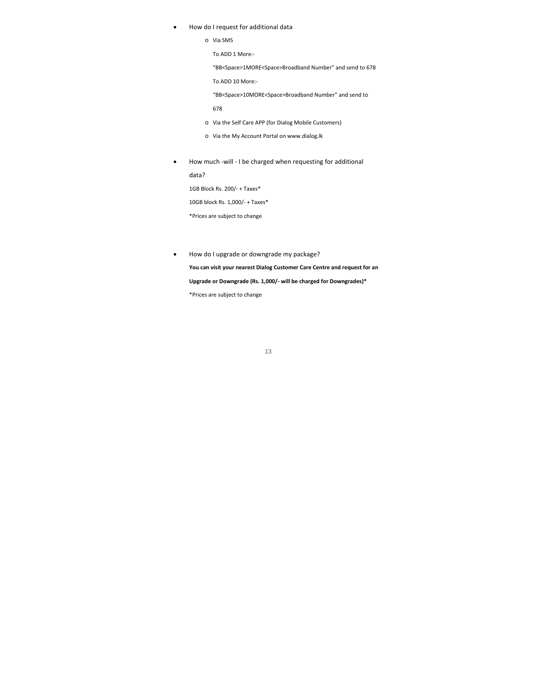- How do I request for additional data
	- o Via SMS

To ADD 1 More:‐

"BB<Space>1MORE<Space>Broadband Number" and send to 678

To ADD 10 More:‐

"BB<Space>10MORE<Space>Broadband Number" and send to

678

- o Via the Self Care APP (for Dialog Mobile Customers)
- o Via the My Account Portal on www.dialog.lk
- How much -will I be charged when requesting for additional data?

1GB Block Rs. 200/‐ + Taxes\*

10GB block Rs. 1,000/‐ + Taxes\*

\*Prices are subject to change

How do I upgrade or downgrade my package?

**You can visit your nearest Dialog Customer Care Centre and request for an Upgrade or Downgrade (Rs. 1,000/‐ will be charged for Downgrades)\***

\*Prices are subject to change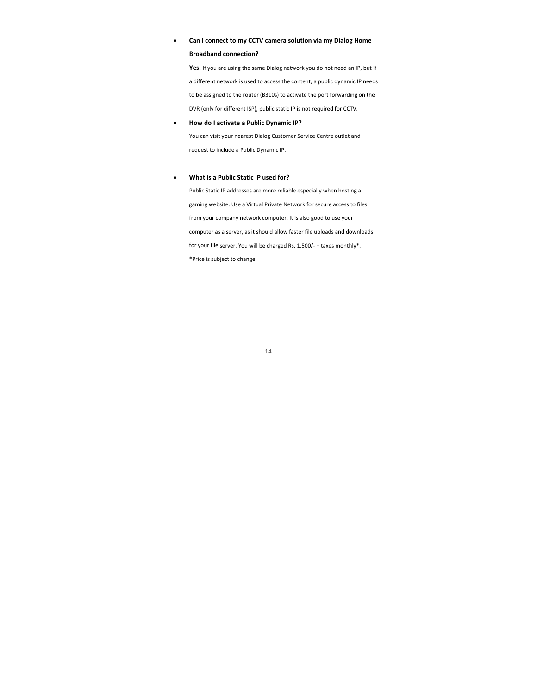#### **Can I connect to my CCTV camera solution via my Dialog Home Broadband connection?**

**Yes.** If you are using the same Dialog network you do not need an IP, but if a different network is used to access the content, a public dynamic IP needs to be assigned to the router (B310s) to activate the port forwarding on the DVR (only for different ISP), public static IP is not required for CCTV.

#### **How do I activate a Public Dynamic IP?**

You can visit your nearest Dialog Customer Service Centre outlet and request to include a Public Dynamic IP.

#### **What is a Public Static IP used for?**

Public Static IP addresses are more reliable especially when hosting a gaming website. Use a Virtual Private Network for secure access to files from your company network computer. It is also good to use your computer as a server, as it should allow faster file uploads and downloads for your file server. You will be charged Rs. 1,500/‐ + taxes monthly\*. \*Price is subject to change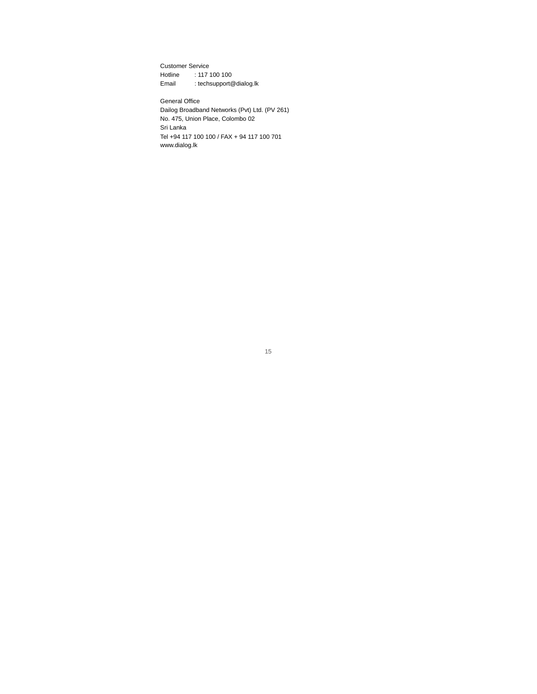Customer Service

Hotline : 117 100 100

Email : techsupport@dialog.lk

General Office Dailog Broadband Networks (Pvt) Ltd. (PV 261) No. 475, Union Place, Colombo 02 Sri Lanka Tel +94 117 100 100 / FAX + 94 117 100 701 www.dialog.lk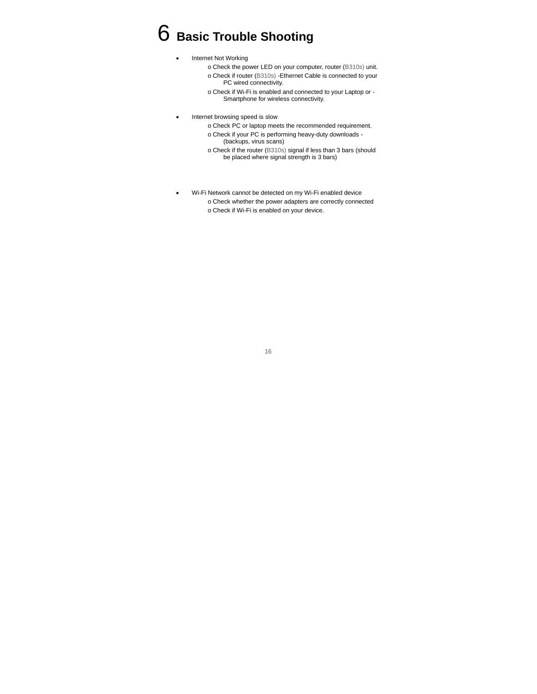### 6 **Basic Trouble Shooting**

- Internet Not Working
	- o Check the power LED on your computer, router (B310s) unit.
	- o Check if router (B310s) -Ethernet Cable is connected to your PC wired connectivity.
	- o Check if Wi-Fi is enabled and connected to your Laptop or Smartphone for wireless connectivity.
- Internet browsing speed is slow
	- o Check PC or laptop meets the recommended requirement.
	- o Check if your PC is performing heavy-duty downloads (backups, virus scans)
	- o Check if the router (B310s) signal if less than 3 bars (should be placed where signal strength is 3 bars)
- Wi-Fi Network cannot be detected on my Wi-Fi enabled device o Check whether the power adapters are correctly connected
	- o Check if Wi-Fi is enabled on your device.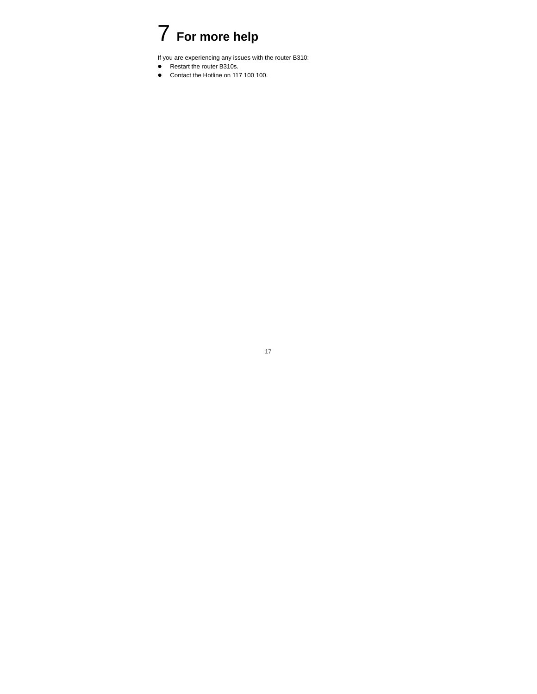### 7 **For more help**

If you are experiencing any issues with the router B310:

- Restart the router B310s.
- Contact the Hotline on 117 100 100.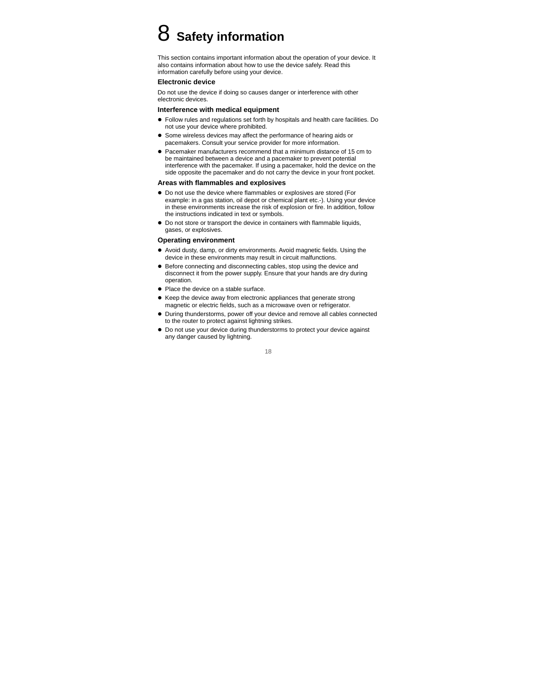### 8 **Safety information**

This section contains important information about the operation of your device. It also contains information about how to use the device safely. Read this information carefully before using your device.

#### **Electronic device**

Do not use the device if doing so causes danger or interference with other electronic devices.

#### **Interference with medical equipment**

- Follow rules and regulations set forth by hospitals and health care facilities. Do not use your device where prohibited.
- Some wireless devices may affect the performance of hearing aids or pacemakers. Consult your service provider for more information.
- Pacemaker manufacturers recommend that a minimum distance of 15 cm to be maintained between a device and a pacemaker to prevent potential interference with the pacemaker. If using a pacemaker, hold the device on the side opposite the pacemaker and do not carry the device in your front pocket.

#### **Areas with flammables and explosives**

- Do not use the device where flammables or explosives are stored (For example: in a gas station, oil depot or chemical plant etc.-). Using your device in these environments increase the risk of explosion or fire. In addition, follow the instructions indicated in text or symbols.
- Do not store or transport the device in containers with flammable liquids, gases, or explosives.

#### **Operating environment**

- Avoid dusty, damp, or dirty environments. Avoid magnetic fields. Using the device in these environments may result in circuit malfunctions.
- $\bullet$  Before connecting and disconnecting cables, stop using the device and disconnect it from the power supply. Ensure that your hands are dry during operation.
- Place the device on a stable surface.
- Keep the device away from electronic appliances that generate strong magnetic or electric fields, such as a microwave oven or refrigerator.
- During thunderstorms, power off your device and remove all cables connected to the router to protect against lightning strikes.
- Do not use your device during thunderstorms to protect your device against any danger caused by lightning.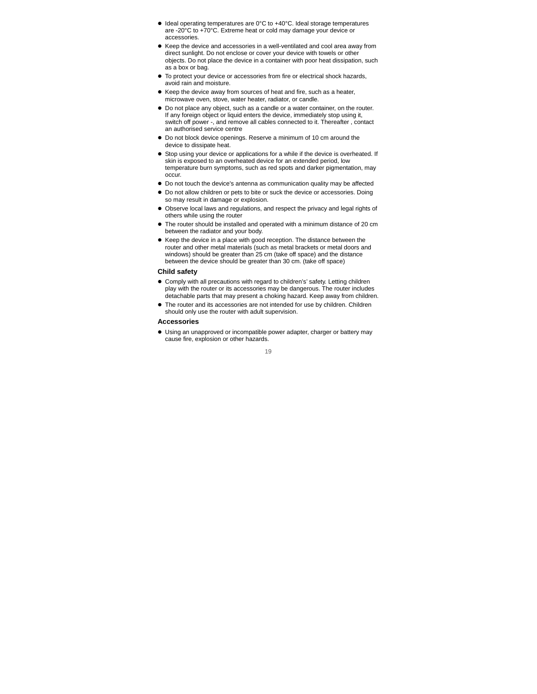- $\bullet$  Ideal operating temperatures are 0°C to +40°C. Ideal storage temperatures are -20°C to +70°C. Extreme heat or cold may damage your device or accessories.
- $\bullet$  Keep the device and accessories in a well-ventilated and cool area away from direct sunlight. Do not enclose or cover your device with towels or other objects. Do not place the device in a container with poor heat dissipation, such as a box or bag.
- $\bullet$  To protect your device or accessories from fire or electrical shock hazards. avoid rain and moisture.
- Keep the device away from sources of heat and fire, such as a heater, microwave oven, stove, water heater, radiator, or candle.
- Do not place any object, such as a candle or a water container, on the router. If any foreign object or liquid enters the device, immediately stop using it, switch off power -, and remove all cables connected to it. Thereafter , contact an authorised service centre
- Do not block device openings. Reserve a minimum of 10 cm around the device to dissipate heat.
- $\bullet$  Stop using your device or applications for a while if the device is overheated. If skin is exposed to an overheated device for an extended period, low temperature burn symptoms, such as red spots and darker pigmentation, may occur.
- Do not touch the device's antenna as communication quality may be affected
- Do not allow children or pets to bite or suck the device or accessories. Doing so may result in damage or explosion.
- Observe local laws and regulations, and respect the privacy and legal rights of others while using the router
- The router should be installed and operated with a minimum distance of 20 cm between the radiator and your body.
- Keep the device in a place with good reception. The distance between the router and other metal materials (such as metal brackets or metal doors and windows) should be greater than 25 cm (take off space) and the distance between the device should be greater than 30 cm. (take off space)

#### **Child safety**

- Comply with all precautions with regard to children's' safety. Letting children play with the router or its accessories may be dangerous. The router includes detachable parts that may present a choking hazard. Keep away from children.
- The router and its accessories are not intended for use by children. Children should only use the router with adult supervision.

#### **Accessories**

 Using an unapproved or incompatible power adapter, charger or battery may cause fire, explosion or other hazards.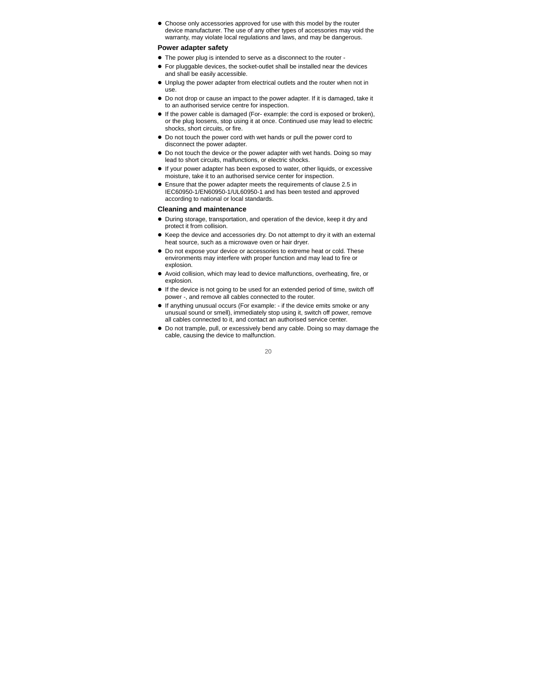Choose only accessories approved for use with this model by the router device manufacturer. The use of any other types of accessories may void the warranty, may violate local regulations and laws, and may be dangerous.

#### **Power adapter safety**

- The power plug is intended to serve as a disconnect to the router -
- For pluggable devices, the socket-outlet shall be installed near the devices and shall be easily accessible.
- Unplug the power adapter from electrical outlets and the router when not in use.
- Do not drop or cause an impact to the power adapter. If it is damaged, take it to an authorised service centre for inspection.
- If the power cable is damaged (For- example: the cord is exposed or broken), or the plug loosens, stop using it at once. Continued use may lead to electric shocks, short circuits, or fire.
- Do not touch the power cord with wet hands or pull the power cord to disconnect the power adapter.
- Do not touch the device or the power adapter with wet hands. Doing so may lead to short circuits, malfunctions, or electric shocks.
- If your power adapter has been exposed to water, other liquids, or excessive moisture, take it to an authorised service center for inspection.
- Ensure that the power adapter meets the requirements of clause 2.5 in IEC60950-1/EN60950-1/UL60950-1 and has been tested and approved according to national or local standards.

#### **Cleaning and maintenance**

- During storage, transportation, and operation of the device, keep it dry and protect it from collision.
- Keep the device and accessories dry. Do not attempt to dry it with an external heat source, such as a microwave oven or hair dryer.
- Do not expose your device or accessories to extreme heat or cold. These environments may interfere with proper function and may lead to fire or explosion.
- Avoid collision, which may lead to device malfunctions, overheating, fire, or explosion.
- $\bullet$  If the device is not going to be used for an extended period of time, switch off power -, and remove all cables connected to the router.
- $\bullet$  If anything unusual occurs (For example:  $\overline{\phantom{a}}$  if the device emits smoke or any unusual sound or smell), immediately stop using it, switch off power, remove all cables connected to it, and contact an authorised service center.
- Do not trample, pull, or excessively bend any cable. Doing so may damage the cable, causing the device to malfunction.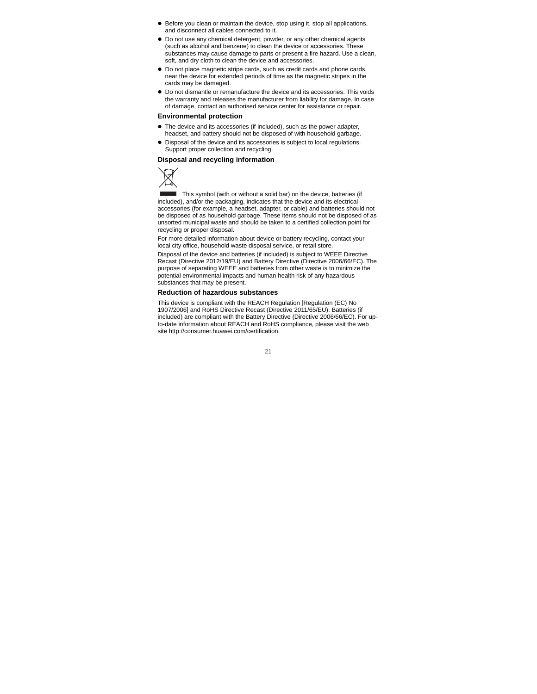- Before you clean or maintain the device, stop using it, stop all applications, and disconnect all cables connected to it.
- Do not use any chemical detergent, powder, or any other chemical agents (such as alcohol and benzene) to clean the device or accessories. These substances may cause damage to parts or present a fire hazard. Use a clean, soft, and dry cloth to clean the device and accessories.
- Do not place magnetic stripe cards, such as credit cards and phone cards, near the device for extended periods of time as the magnetic stripes in the cards may be damaged.
- Do not dismantle or remanufacture the device and its accessories. This voids the warranty and releases the manufacturer from liability for damage. In case of damage, contact an authorised service center for assistance or repair.

#### **Environmental protection**

- The device and its accessories (if included), such as the power adapter, headset, and battery should not be disposed of with household garbage.
- Disposal of the device and its accessories is subject to local regulations. Support proper collection and recycling.

#### **Disposal and recycling information**



 This symbol (with or without a solid bar) on the device, batteries (if included), and/or the packaging, indicates that the device and its electrical accessories (for example, a headset, adapter, or cable) and batteries should not be disposed of as household garbage. These items should not be disposed of as unsorted municipal waste and should be taken to a certified collection point for recycling or proper disposal.

For more detailed information about device or battery recycling, contact your local city office, household waste disposal service, or retail store.

Disposal of the device and batteries (if included) is subject to WEEE Directive Recast (Directive 2012/19/EU) and Battery Directive (Directive 2006/66/EC). The purpose of separating WEEE and batteries from other waste is to minimize the potential environmental impacts and human health risk of any hazardous substances that may be present.

#### **Reduction of hazardous substances**

This device is compliant with the REACH Regulation [Regulation (EC) No 1907/2006] and RoHS Directive Recast (Directive 2011/65/EU). Batteries (if included) are compliant with the Battery Directive (Directive 2006/66/EC). For upto-date information about REACH and RoHS compliance, please visit the web site http://consumer.huawei.com/certification.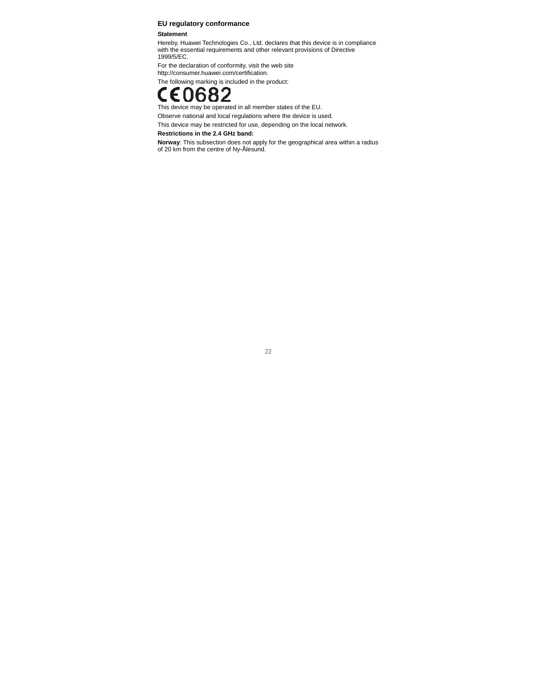#### **EU regulatory conformance**

#### **Statement**

Hereby, Huawei Technologies Co., Ltd. declares that this device is in compliance with the essential requirements and other relevant provisions of Directive 1999/5/EC.

For the declaration of conformity, visit the web site http://consumer.huawei.com/certification.

The following marking is included in the product:

This device may be operated in all member states of the EU.

Observe national and local regulations where the device is used.

This device may be restricted for use, depending on the local network.

#### **Restrictions in the 2.4 GHz band:**

**Norway**: This subsection does not apply for the geographical area within a radius of 20 km from the centre of Ny-Ålesund.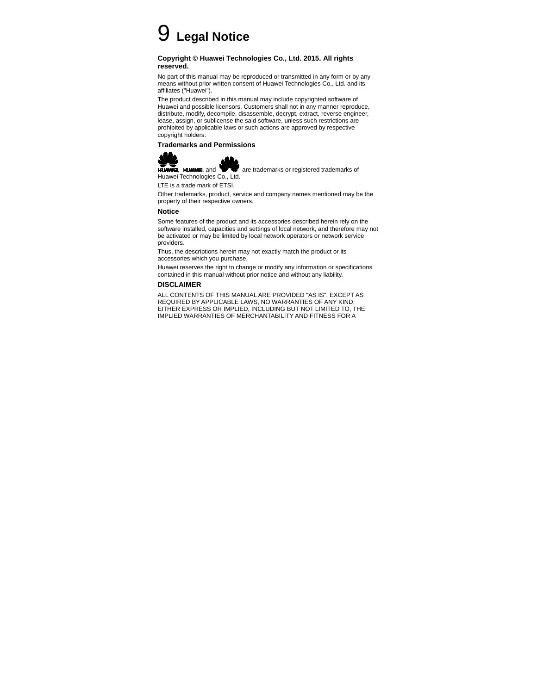# 9 **Legal Notice**

#### **Copyright © Huawei Technologies Co., Ltd. 2015. All rights reserved.**

No part of this manual may be reproduced or transmitted in any form or by any means without prior written consent of Huawei Technologies Co., Ltd. and its affiliates ("Huawei").

The product described in this manual may include copyrighted software of Huawei and possible licensors. Customers shall not in any manner reproduce, distribute, modify, decompile, disassemble, decrypt, extract, reverse engineer, lease, assign, or sublicense the said software, unless such restrictions are prohibited by applicable laws or such actions are approved by respective copyright holders.

#### **Trademarks and Permissions**





HUNNEI, HUNNEI, and are trademarks or registered trademarks of

Huawei Technologies Co., Ltd.

LTE is a trade mark of ETSI.

Other trademarks, product, service and company names mentioned may be the property of their respective owners.

#### **Notice**

Some features of the product and its accessories described herein rely on the software installed, capacities and settings of local network, and therefore may not be activated or may be limited by local network operators or network service providers.

Thus, the descriptions herein may not exactly match the product or its accessories which you purchase.

Huawei reserves the right to change or modify any information or specifications contained in this manual without prior notice and without any liability.

#### **DISCLAIMER**

ALL CONTENTS OF THIS MANUAL ARE PROVIDED "AS IS". EXCEPT AS REQUIRED BY APPLICABLE LAWS, NO WARRANTIES OF ANY KIND, EITHER EXPRESS OR IMPLIED, INCLUDING BUT NOT LIMITED TO, THE IMPLIED WARRANTIES OF MERCHANTABILITY AND FITNESS FOR A